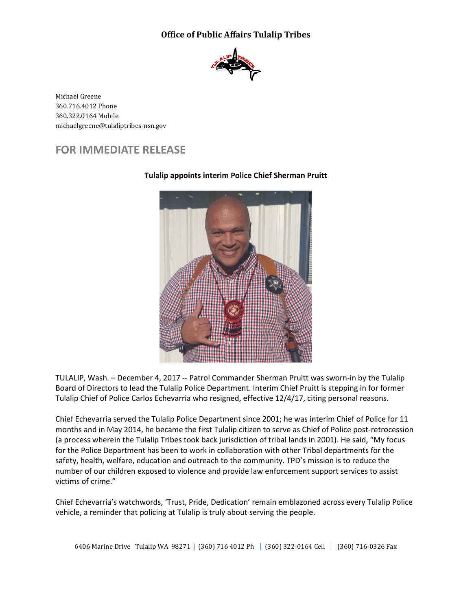## **Office of Public Affairs Tulalip Tribes**



Michael Greene 360.716.4012 Phone 360.322.0164 Mobile michaelgreene@tulaliptribes-nsn.gov

## **FOR IMMEDIATE RELEASE**



## **Tulalip appoints interim Police Chief Sherman Pruitt**

TULALIP, Wash. – December 4, 2017 -- Patrol Commander Sherman Pruitt was sworn-in by the Tulalip Board of Directors to lead the Tulalip Police Department. Interim Chief Pruitt is stepping in for former Tulalip Chief of Police Carlos Echevarria who resigned, effective 12/4/17, citing personal reasons.

Chief Echevarria served the Tulalip Police Department since 2001; he was interim Chief of Police for 11 months and in May 2014, he became the first Tulalip citizen to serve as Chief of Police post-retrocession (a process wherein the Tulalip Tribes took back jurisdiction of tribal lands in 2001). He said, "My focus for the Police Department has been to work in collaboration with other Tribal departments for the safety, health, welfare, education and outreach to the community. TPD's mission is to reduce the number of our children exposed to violence and provide law enforcement support services to assist victims of crime."

Chief Echevarria's watchwords, 'Trust, Pride, Dedication' remain emblazoned across every Tulalip Police vehicle, a reminder that policing at Tulalip is truly about serving the people.